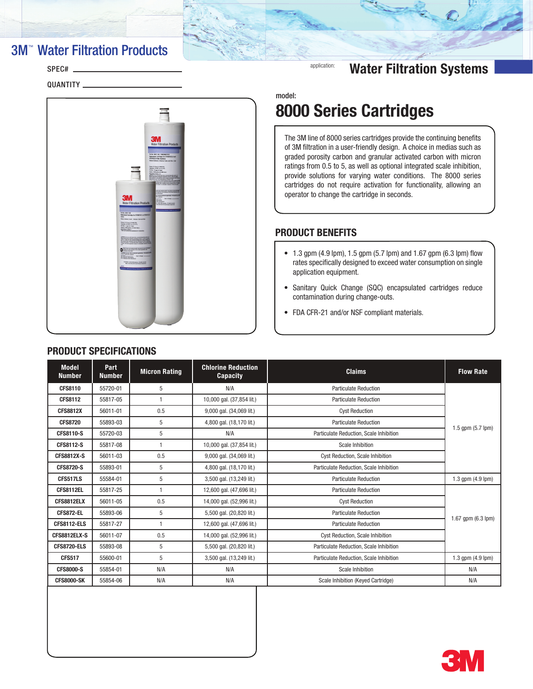# **3M<sup>™</sup> Water Filtration Products**

## SPEC#<sub>-</sub>

QUANTITY



# **application:** Water Filtration Systems

model:

# 8000 Series Cartridges

The 3M line of 8000 series cartridges provide the continuing benefits of 3M filtration in a user-friendly design. A choice in medias such as graded porosity carbon and granular activated carbon with micron ratings from 0.5 to 5, as well as optional integrated scale inhibition, provide solutions for varying water conditions. The 8000 series cartridges do not require activation for functionality, allowing an operator to change the cartridge in seconds.

## PRODUCT BENEFITS

- $\bullet$  1.3 gpm (4.9 lpm), 1.5 gpm (5.7 lpm) and 1.67 gpm (6.3 lpm) flow rates specifically designed to exceed water consumption on single application equipment.
- • Sanitary Quick Change (SQC) encapsulated cartridges reduce contamination during change-outs.
- • FDA CFR-21 and/or NSF compliant materials.

| <b>Model</b><br><b>Number</b> | Part<br><b>Number</b> | <b>Micron Rating</b> | <b>Chlorine Reduction</b><br><b>Capacity</b> | <b>Claims</b>                           | <b>Flow Rate</b>       |
|-------------------------------|-----------------------|----------------------|----------------------------------------------|-----------------------------------------|------------------------|
| <b>CFS8110</b>                | 55720-01              | 5                    | N/A                                          | <b>Particulate Reduction</b>            |                        |
| <b>CFS8112</b>                | 55817-05              | $\mathbf{1}$         | 10,000 gal. (37,854 lit.)                    | <b>Particulate Reduction</b>            |                        |
| <b>CFS8812X</b>               | 56011-01              | 0.5                  | 9,000 gal. (34,069 lit.)                     | <b>Cyst Reduction</b>                   |                        |
| <b>CFS8720</b>                | 55893-03              | 5                    | 4,800 gal. (18,170 lit.)                     | <b>Particulate Reduction</b>            |                        |
| <b>CFS8110-S</b>              | 55720-03              | 5                    | N/A                                          | Particulate Reduction. Scale Inhibition | 1.5 gpm (5.7 lpm)      |
| <b>CFS8112-S</b>              | 55817-08              | $\mathbf{1}$         | 10,000 gal. (37,854 lit.)                    | Scale Inhibition                        |                        |
| <b>CFS8812X-S</b>             | 56011-03              | 0.5                  | 9,000 gal. (34,069 lit.)                     | <b>Cyst Reduction, Scale Inhibition</b> |                        |
| <b>CFS8720-S</b>              | 55893-01              | 5                    | 4,800 gal. (18,170 lit.)                     | Particulate Reduction, Scale Inhibition |                        |
| CFS517LS                      | 55584-01              | 5                    | 3,500 gal. (13,249 lit.)                     | <b>Particulate Reduction</b>            | 1.3 $qpm (4.9$ $lpm)$  |
| CFS8112EL                     | 55817-25              | $\mathbf{1}$         | 12,600 gal. (47,696 lit.)                    | <b>Particulate Reduction</b>            |                        |
| CFS8812ELX                    | 56011-05              | 0.5                  | 14,000 gal. (52,996 lit.)                    | <b>Cyst Reduction</b>                   |                        |
| CFS872-EL                     | 55893-06              | 5                    | 5,500 gal. (20,820 lit.)                     | <b>Particulate Reduction</b>            |                        |
| <b>CFS8112-ELS</b>            | 55817-27              | $\mathbf{1}$         | 12,600 gal. (47,696 lit.)                    | <b>Particulate Reduction</b>            | 1.67 gpm (6.3 lpm)     |
| CFS8812ELX-S                  | 56011-07              | 0.5                  | 14,000 gal. (52,996 lit.)                    | <b>Cyst Reduction, Scale Inhibition</b> |                        |
| <b>CFS8720-ELS</b>            | 55893-08              | 5                    | 5,500 gal. (20,820 lit.)                     | Particulate Reduction, Scale Inhibition |                        |
| <b>CFS517</b>                 | 55600-01              | 5                    | 3,500 gal. (13,249 lit.)                     | Particulate Reduction, Scale Inhibition | 1.3 gpm $(4.9$ lpm $)$ |
| <b>CFS8000-S</b>              | 55854-01              | N/A                  | N/A                                          | Scale Inhibition                        | N/A                    |
| <b>CFS8000-SK</b>             | 55854-06              | N/A                  | N/A                                          | Scale Inhibition (Keyed Cartridge)      | N/A                    |

## PRODUCT SPECIFICATIONS